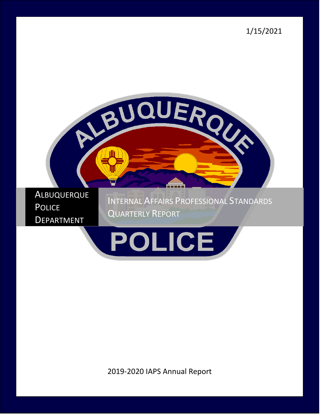1/15/2021





2019-2020 IAPS Annual Report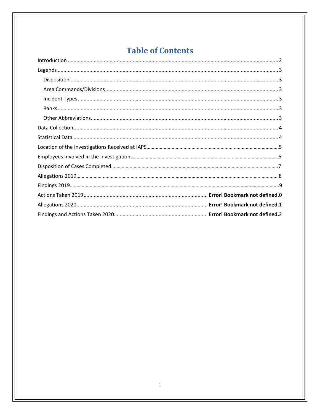# **Table of Contents**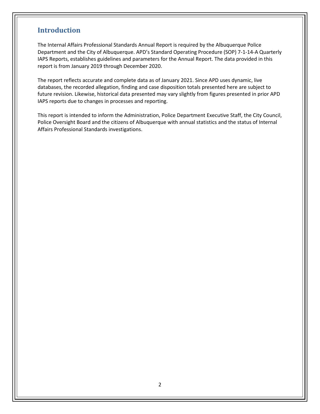### <span id="page-2-0"></span>**Introduction**

The Internal Affairs Professional Standards Annual Report is required by the Albuquerque Police Department and the City of Albuquerque. APD's Standard Operating Procedure (SOP) 7-1-14-A Quarterly IAPS Reports, establishes guidelines and parameters for the Annual Report. The data provided in this report is from January 2019 through December 2020.

The report reflects accurate and complete data as of January 2021. Since APD uses dynamic, live databases, the recorded allegation, finding and case disposition totals presented here are subject to future revision. Likewise, historical data presented may vary slightly from figures presented in prior APD IAPS reports due to changes in processes and reporting.

This report is intended to inform the Administration, Police Department Executive Staff, the City Council, Police Oversight Board and the citizens of Albuquerque with annual statistics and the status of Internal Affairs Professional Standards investigations.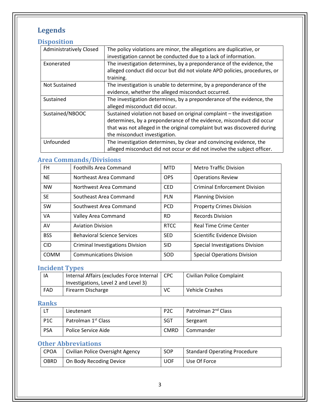# <span id="page-3-0"></span>**Legends**

# <span id="page-3-1"></span>**Disposition**

| The policy violations are minor, the allegations are duplicative, or       |
|----------------------------------------------------------------------------|
| investigation cannot be conducted due to a lack of information.            |
| The investigation determines, by a preponderance of the evidence, the      |
| alleged conduct did occur but did not violate APD policies, procedures, or |
| training.                                                                  |
| The investigation is unable to determine, by a preponderance of the        |
| evidence, whether the alleged misconduct occurred.                         |
| The investigation determines, by a preponderance of the evidence, the      |
| alleged misconduct did occur.                                              |
| Sustained violation not based on original complaint - the investigation    |
| determines, by a preponderance of the evidence, misconduct did occur       |
| that was not alleged in the original complaint but was discovered during   |
| the misconduct investigation.                                              |
| The investigation determines, by clear and convincing evidence, the        |
| alleged misconduct did not occur or did not involve the subject officer.   |
|                                                                            |

# <span id="page-3-2"></span>**Area Commands/Divisions**

| <b>FH</b>   | <b>Foothills Area Command</b>           | <b>MTD</b>  | <b>Metro Traffic Division</b>        |
|-------------|-----------------------------------------|-------------|--------------------------------------|
| <b>NE</b>   | Northeast Area Command                  | <b>OPS</b>  | <b>Operations Review</b>             |
| <b>NW</b>   | Northwest Area Command                  | <b>CED</b>  | <b>Criminal Enforcement Division</b> |
| <b>SE</b>   | Southeast Area Command                  | <b>PLN</b>  | <b>Planning Division</b>             |
| SW          | Southwest Area Command                  | <b>PCD</b>  | <b>Property Crimes Division</b>      |
| VA          | Valley Area Command                     | <b>RD</b>   | <b>Records Division</b>              |
| AV          | <b>Aviation Division</b>                | <b>RTCC</b> | <b>Real Time Crime Center</b>        |
| <b>BSS</b>  | <b>Behavioral Science Services</b>      | <b>SED</b>  | Scientific Evidence Division         |
| <b>CID</b>  | <b>Criminal Investigations Division</b> | <b>SID</b>  | Special Investigations Division      |
| <b>COMM</b> | <b>Communications Division</b>          | SOD         | <b>Special Operations Division</b>   |

### <span id="page-3-3"></span>**Incident Types**

| IA  | Internal Affairs (excludes Force Internal   CPC |           | Civilian Police Complaint |
|-----|-------------------------------------------------|-----------|---------------------------|
|     | Investigations, Level 2 and Level 3)            |           |                           |
| FAD | Firearm Discharge                               | <b>VC</b> | <b>Vehicle Crashes</b>    |

### <span id="page-3-4"></span>**Ranks**

|                  | Lieutenant                      | P <sub>2</sub> C | Patrolman 2 <sup>nd</sup> Class |
|------------------|---------------------------------|------------------|---------------------------------|
| P <sub>1</sub> C | Patrolman 1 <sup>st</sup> Class | <b>SGT</b>       | Sergeant                        |
| PSA              | Police Service Aide             | <b>CMRD</b>      | l Commander                     |

# <span id="page-3-5"></span>**Other Abbreviations**

| CPOA        | Civilian Police Oversight Agency | <b>SOP</b> | Standard Operating Procedure |
|-------------|----------------------------------|------------|------------------------------|
| <b>OBRD</b> | On Body Recoding Device          | <b>UOF</b> | Use Of Force                 |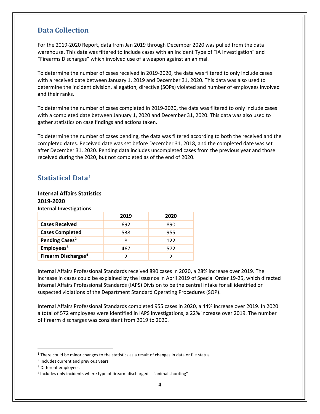### <span id="page-4-0"></span>**Data Collection**

For the 2019-2020 Report, data from Jan 2019 through December 2020 was pulled from the data warehouse. This data was filtered to include cases with an Incident Type of "IA Investigation" and "Firearms Discharges" which involved use of a weapon against an animal.

To determine the number of cases received in 2019-2020, the data was filtered to only include cases with a received date between January 1, 2019 and December 31, 2020. This data was also used to determine the incident division, allegation, directive (SOPs) violated and number of employees involved and their ranks.

To determine the number of cases completed in 2019-2020, the data was filtered to only include cases with a completed date between January 1, 2020 and December 31, 2020. This data was also used to gather statistics on case findings and actions taken.

To determine the number of cases pending, the data was filtered according to both the received and the completed dates. Received date was set before December 31, 2018, and the completed date was set after December 31, 2020. Pending data includes uncompleted cases from the previous year and those received during the 2020, but not completed as of the end of 2020.

### <span id="page-4-1"></span>**Statistical Data[1](#page-4-2)**

#### **Internal Affairs Statistics 2019-2020**

**Internal Investigations**

|                                 | 2019 | 2020 |
|---------------------------------|------|------|
| <b>Cases Received</b>           | 692  | 890  |
| <b>Cases Completed</b>          | 538  | 955  |
| Pending Cases <sup>2</sup>      | 8    | 122  |
| Employees <sup>3</sup>          | 467  | 572  |
| Firearm Discharges <sup>4</sup> |      |      |

Internal Affairs Professional Standards received 890 cases in 2020, a 28% increase over 2019. The increase in cases could be explained by the issuance in April 2019 of Special Order 19-25, which directed Internal Affairs Professional Standards (IAPS) Division to be the central intake for all identified or suspected violations of the Department Standard Operating Procedures (SOP).

Internal Affairs Professional Standards completed 955 cases in 2020, a 44% increase over 2019. In 2020 a total of 572 employees were identified in IAPS investigations, a 22% increase over 2019. The number of firearm discharges was consistent from 2019 to 2020.

<span id="page-4-2"></span> $1$  There could be minor changes to the statistics as a result of changes in data or file status

<span id="page-4-3"></span><sup>2</sup> Includes current and previous years

<span id="page-4-4"></span><sup>3</sup> Different employees

<span id="page-4-5"></span><sup>4</sup> Includes only incidents where type of firearm discharged is "animal shooting"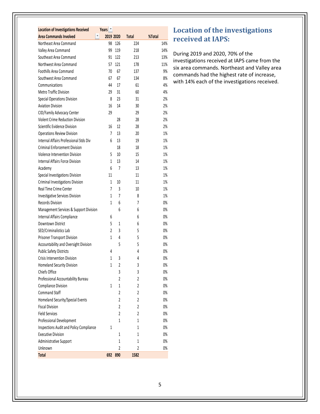| <b>Location of Investigations Received</b> | Years <sup>~</sup> |                |                |        |
|--------------------------------------------|--------------------|----------------|----------------|--------|
| ▼<br><b>Area Commands Involved</b>         | 2019 2020          |                | <b>Total</b>   | %Total |
| Northeast Area Command                     | 98                 | 126            | 224            | 14%    |
| Valley Area Command                        | 99                 | 119            | 218            | 14%    |
| Southeast Area Command                     | 91                 | 122            | 213            | 13%    |
| Northwest Area Command                     | 57                 | 121            | 178            | 11%    |
| <b>Foothills Area Command</b>              | 70                 | 67             | 137            | 9%     |
| Southwest Area Command                     | 67                 | 67             | 134            | 8%     |
| Communications                             | 44                 | 17             | 61             | 4%     |
| <b>Metro Traffic Division</b>              | 29                 | 31             | 60             | 4%     |
| Special Operations Division                | 8                  | 23             | 31             | 2%     |
| <b>Aviation Division</b>                   | 16                 | 14             | 30             | 2%     |
| CID/Family Advocacy Center                 | 29                 |                | 29             | 2%     |
| <b>Violent Crime Reduction Division</b>    |                    | 28             | 28             | 2%     |
| Scientific Evidence Division               | 16                 | 12             | 28             | 2%     |
| <b>Operations Review Division</b>          | 7                  | 13             | 20             | 1%     |
| Internal Affairs Professional Stds Div     | 6                  | 13             | 19             | 1%     |
| <b>Criminal Enforcement Division</b>       |                    | 18             | 18             | 1%     |
| Violence Intervention Division             | 5                  | 10             | 15             | 1%     |
| <b>Internal Affairs Force Division</b>     | 1                  | 13             | 14             | 1%     |
| Academy                                    | 6                  | 7              | 13             | 1%     |
| Special Investigations Division            | 11                 |                | 11             | 1%     |
| Criminal Investigations Division           | $\mathbf{1}$       | 10             | 11             | 1%     |
| Real Time Crime Center                     | 7                  | 3              | 10             | 1%     |
| <b>Investigative Services Division</b>     | 1                  | 7              | 8              | 1%     |
| Records Division                           | 1                  | 6              | 7              | 0%     |
| Management Services & Support Division     |                    | 6              | 6              | 0%     |
| Internal Affairs Compliance                | 6                  |                | 6              | 0%     |
| Downtown District                          | 5                  | $\mathbf{1}$   | 6              | 0%     |
| SED/Criminalistics Lab                     | 2                  | 3              | 5              | 0%     |
| Prisoner Transport Division                | 1                  | 4              | 5              | 0%     |
| Accountability and Oversight Division      |                    | 5              | 5              | 0%     |
| <b>Public Safety Districts</b>             | 4                  |                | 4              | 0%     |
| <b>Crisis Intervention Division</b>        | 1                  | 3              | 4              | 0%     |
| <b>Homeland Security Division</b>          | 1                  | 2              | 3              | 0%     |
| Chiefs Office                              |                    | 3              | 3              | $0\%$  |
| Professional Accountability Bureau         |                    | $\overline{c}$ | $\overline{c}$ | $0\%$  |
| <b>Compliance Division</b>                 | 1                  | 1              | $\overline{c}$ | 0%     |
| <b>Command Staff</b>                       |                    | $\overline{2}$ | 2              | 0%     |
| Homeland Security/Special Events           |                    | $\overline{2}$ | $\overline{c}$ | 0%     |
| <b>Fiscal Division</b>                     |                    | $\overline{c}$ | $\overline{c}$ | 0%     |
| <b>Field Services</b>                      |                    | $\overline{c}$ | 2              | $0\%$  |
| Professional Development                   |                    | 1              | 1              | 0%     |
| Inspections Audit and Policy Compliance    | 1                  |                | 1              | 0%     |
| <b>Executive Division</b>                  |                    | 1              | 1              | 0%     |
| Administrative Support                     |                    | 1              | 1              | 0%     |
| Unknown                                    |                    | $\overline{2}$ | $\overline{c}$ | 0%     |
| <b>Total</b>                               | 692                | 890            | 1582           |        |

# **Location of the investigations received at IAPS:**

During 2019 and 2020, 70% of the investigations received at IAPS came from the six area commands. Northeast and Valley area commands had the highest rate of increase, with 14% each of the investigations received.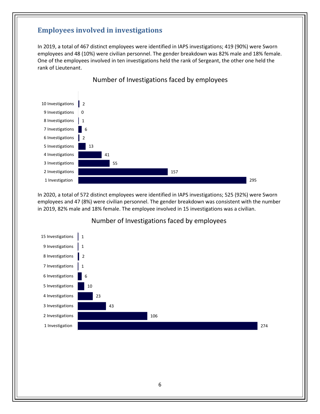### **Employees involved in investigations**

In 2019, a total of 467 distinct employees were identified in IAPS investigations; 419 (90%) were Sworn employees and 48 (10%) were civilian personnel. The gender breakdown was 82% male and 18% female. One of the employees involved in ten investigations held the rank of Sergeant, the other one held the rank of Lieutenant.



In 2020, a total of 572 distinct employees were identified in IAPS investigations; 525 (92%) were Sworn employees and 47 (8%) were civilian personnel. The gender breakdown was consistent with the number in 2019, 82% male and 18% female. The employee involved in 15 investigations was a civilian.



#### Number of Investigations faced by employees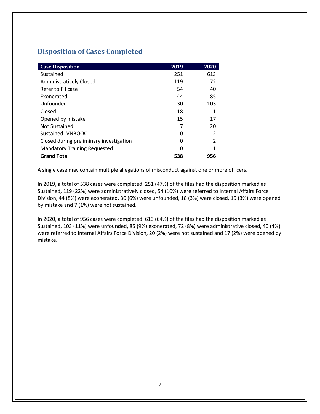# **Disposition of Cases Completed**

| <b>Case Disposition</b>                 | 2019 | 2020           |
|-----------------------------------------|------|----------------|
| Sustained                               | 251  | 613            |
| <b>Administratively Closed</b>          | 119  | 72             |
| Refer to FII case                       | 54   | 40             |
| Exonerated                              | 44   | 85             |
| Unfounded                               | 30   | 103            |
| Closed                                  | 18   | 1              |
| Opened by mistake                       | 15   | 17             |
| <b>Not Sustained</b>                    | 7    | 20             |
| Sustained - VNBOOC                      | O    | $\mathcal{P}$  |
| Closed during preliminary investigation | 0    | $\mathfrak{p}$ |
| <b>Mandatory Training Requested</b>     | O    | 1              |
| <b>Grand Total</b>                      | 538  | 956            |

A single case may contain multiple allegations of misconduct against one or more officers.

In 2019, a total of 538 cases were completed. 251 (47%) of the files had the disposition marked as Sustained, 119 (22%) were administratively closed, 54 (10%) were referred to Internal Affairs Force Division, 44 (8%) were exonerated, 30 (6%) were unfounded, 18 (3%) were closed, 15 (3%) were opened by mistake and 7 (1%) were not sustained.

In 2020, a total of 956 cases were completed. 613 (64%) of the files had the disposition marked as Sustained, 103 (11%) were unfounded, 85 (9%) exonerated, 72 (8%) were administrative closed, 40 (4%) were referred to Internal Affairs Force Division, 20 (2%) were not sustained and 17 (2%) were opened by mistake.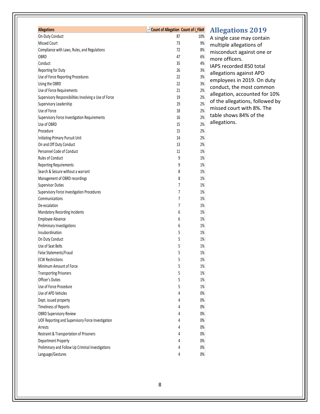| <b>Allegations</b>                                    | <b>July 2015</b> Count of Allegation Count of i_File# |     |
|-------------------------------------------------------|-------------------------------------------------------|-----|
| On-Duty Conduct                                       | 87                                                    | 10% |
| <b>Missed Court</b>                                   | 73                                                    | 9%  |
| Compliance with Laws, Rules, and Regulations          | 72                                                    | 8%  |
| OBRD                                                  | 47                                                    | 6%  |
| Conduct                                               | 35                                                    | 4%  |
| Reporting for Duty                                    | 26                                                    | 3%  |
| Use of Force Reporting Procedures                     | 22                                                    | 3%  |
| Using the OBRD                                        | 22                                                    | 3%  |
| Use of Force Requirements                             | 21                                                    | 2%  |
| Supervisory Responsibilities Involving a Use of Force | 19                                                    | 2%  |
| Supervisory Leadership                                | 19                                                    | 2%  |
| Use of Force                                          | 18                                                    | 2%  |
| Supervisory Force Investigation Requirements          | 16                                                    | 2%  |
| Use of OBRD                                           | 15                                                    | 2%  |
| Procedure                                             | 15                                                    | 2%  |
| Initiating-Primary Pursuit Unit                       | 14                                                    | 2%  |
| On and Off Duty Conduct                               | 13                                                    | 2%  |
| Personnel Code of Conduct                             | 11                                                    | 1%  |
| Rules of Conduct                                      | 9                                                     | 1%  |
| <b>Reporting Requirements</b>                         | 9                                                     | 1%  |
| Search & Seizure without a warrant                    | 8                                                     | 1%  |
| Management of OBRD recordings                         | 8                                                     | 1%  |
| <b>Supervisor Duties</b>                              | 7                                                     | 1%  |
| Supervisory Force Investigation Procedures            | 7                                                     | 1%  |
| Communications                                        | 7                                                     | 1%  |
| De-escalation                                         | 7                                                     | 1%  |
| <b>Mandatory Recording Incidents</b>                  | 6                                                     | 1%  |
| Employee Absence                                      | 6                                                     | 1%  |
| Preliminary Investigations                            | 6                                                     | 1%  |
| Insubordination                                       | 5                                                     | 1%  |
| On Duty Conduct                                       | 5                                                     | 1%  |
| Use of Seat Belts                                     | 5                                                     | 1%  |
| False Statements/Fraud                                | 5                                                     | 1%  |
| <b>ECW Restrictions</b>                               | 5                                                     | 1%  |
| Minimum Amount of Force                               | 5                                                     | 1%  |
| <b>Transporting Prisoners</b>                         | 5                                                     | 1%  |
| <b>Officer's Duties</b>                               | 5                                                     | 1%  |
| Use of Force Procedure                                | 5                                                     | 1%  |
| Use of APD Vehicles                                   | 4                                                     | 0%  |
| Dept. issued property                                 | 4                                                     | 0%  |
| <b>Timeliness of Reports</b>                          | 4                                                     | 0%  |
| <b>OBRD Supervisory Review</b>                        | 4                                                     | 0%  |
| UOF Reporting and Supervisory Force Investigation     | 4                                                     | 0%  |
| Arrests                                               | 4                                                     | 0%  |
| Restraint & Transportation of Prisoners               | 4                                                     | 0%  |
| Department Property                                   | 4                                                     | 0%  |
| Preliminary and Follow Up Criminal Investigations     | 4                                                     | 0%  |
| Language/Gestures                                     | 4                                                     | 0%  |

# **Allegations 2019**

A single case may contain multiple allegations of misconduct against one or more officers. IAPS recorded 850 total allegations against APD employees in 2019. On duty conduct, the most common allegation, accounted for 10% of the allegations, followed by missed court with 8%. The table shows 84% of the allegations.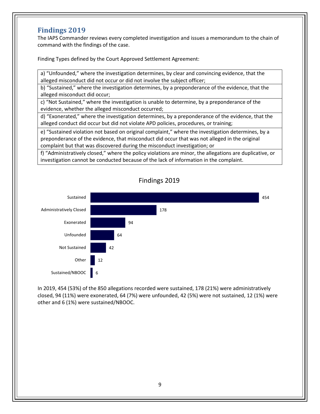### **Findings 2019**

The IAPS Commander reviews every completed investigation and issues a memorandum to the chain of command with the findings of the case.

Finding Types defined by the Court Approved Settlement Agreement:

a) "Unfounded," where the investigation determines, by clear and convincing evidence, that the alleged misconduct did not occur or did not involve the subject officer;

b) "Sustained," where the investigation determines, by a preponderance of the evidence, that the alleged misconduct did occur;

c) "Not Sustained," where the investigation is unable to determine, by a preponderance of the evidence, whether the alleged misconduct occurred;

d) "Exonerated," where the investigation determines, by a preponderance of the evidence, that the alleged conduct did occur but did not violate APD policies, procedures, or training;

e) "Sustained violation not based on original complaint," where the investigation determines, by a preponderance of the evidence, that misconduct did occur that was not alleged in the original complaint but that was discovered during the misconduct investigation; or

f) "Administratively closed," where the policy violations are minor, the allegations are duplicative, or investigation cannot be conducted because of the lack of information in the complaint.



In 2019, 454 (53%) of the 850 allegations recorded were sustained, 178 (21%) were administratively closed, 94 (11%) were exonerated, 64 (7%) were unfounded, 42 (5%) were not sustained, 12 (1%) were other and 6 (1%) were sustained/NBOOC.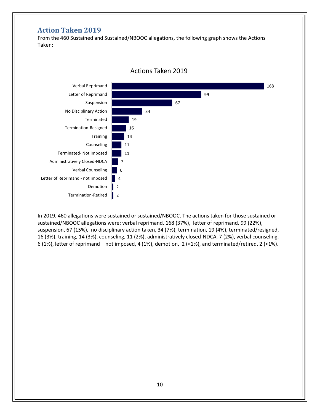# **Action Taken 2019**

From the 460 Sustained and Sustained/NBOOC allegations, the following graph shows the Actions Taken:



In 2019, 460 allegations were sustained or sustained/NBOOC. The actions taken for those sustained or sustained/NBOOC allegations were: verbal reprimand, 168 (37%), letter of reprimand, 99 (22%), suspension, 67 (15%), no disciplinary action taken, 34 (7%), termination, 19 (4%), terminated/resigned, 16 (3%), training, 14 (3%), counseling, 11 (2%), administratively closed-NDCA, 7 (2%), verbal counseling, 6 (1%), letter of reprimand – not imposed, 4 (1%), demotion, 2 (<1%), and terminated/retired, 2 (<1%).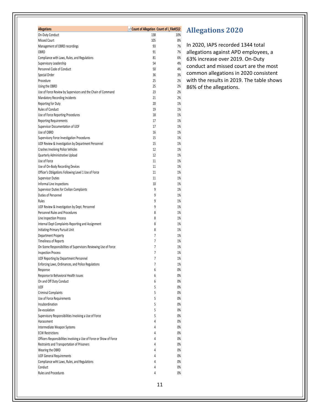| <b>Allegations</b>                                                  | «I Count of Allegation Count of i_File#(5)2 |          |
|---------------------------------------------------------------------|---------------------------------------------|----------|
| On-Duty Conduct                                                     | 138                                         | 10%      |
| <b>Missed Court</b>                                                 | 105                                         | 8%       |
| Management of OBRD recordings                                       | 93                                          | 7%       |
| OBRD                                                                | 91                                          | 7%       |
| Compliance with Laws, Rules, and Regulations                        | 81                                          | 6%       |
| Supervisory Leadership                                              | 54                                          | 4%       |
| Personnel Code of Conduct                                           | 50                                          | 4%       |
| Special Order                                                       | 36                                          | 3%       |
| Procedure                                                           | 25                                          | 2%       |
| Using the OBRD                                                      | 25                                          | 2%       |
| Use of Force Review by Supervisors and the Chain of Command         | 23                                          | 2%       |
| <b>Mandatory Recording Incidents</b>                                | 21                                          | 2%       |
| Reporting for Duty<br>Rules of Conduct                              | 20                                          | 1%       |
| Use of Force Reporting Procedures                                   | 19<br>18                                    | 1%<br>1% |
| <b>Reporting Requirements</b>                                       | 17                                          | 1%       |
| Supervisor Documentation of UOF                                     | 17                                          | 1%       |
| Use of OBRD                                                         | 16                                          | 1%       |
| Supervisory Force Investigation Procedures                          | 15                                          | 1%       |
| UOF Review & Investigation by Department Personnel                  | 15                                          | 1%       |
| <b>Crashes Involving Police Vehicles</b>                            | 12                                          | 1%       |
| Quarterly Administrative Upload                                     | 12                                          | 1%       |
| Use of Force                                                        | 11                                          | 1%       |
| Use of On-Body Recording Devices                                    | 11                                          | 1%       |
| Officer's Obligations Following Level 1 Use of Force                | 11                                          | 1%       |
| <b>Supervisor Duties</b>                                            | 11                                          | 1%       |
| Informal Line Inspections                                           | 10                                          | 1%       |
| Supervisor Duties for Civilian Complaints                           | 9                                           | 1%       |
| Duties of Personnel                                                 | 9                                           | 1%       |
| Rules                                                               | 9                                           | 1%       |
| UOF Review & Investigation by Dept. Personnel                       | 9                                           | 1%       |
| Personnel Rules and Procedures                                      | 8                                           | 1%       |
| Line Inspection Process                                             | 8                                           | 1%       |
| Internal Dept Complaints-Reporting and Assignment                   | 8                                           | 1%       |
| Initiating-Primary Pursuit Unit                                     | 8                                           | 1%       |
| Department Property                                                 | 7                                           | 1%       |
| <b>Timeliness of Reports</b>                                        | 7                                           | 1%       |
| On-Scene Responsibilities of Supervisors Reviewing Use of Force     | 7                                           | 1%       |
| <b>Inspection Process</b>                                           | 7                                           | 1%       |
| UOF Reporting by Department Personnel                               | 7                                           | 1%       |
| Enforcing Laws, Ordinances, and Police Regulations                  | 7                                           | 1%       |
| Response                                                            | 6<br>6                                      | 0%       |
| Response to Behavioral Health Issues<br>On and Off Duty Conduct     | 6                                           | 0%<br>0% |
| UOF                                                                 | 5                                           | 0%       |
| Criminal Complaints                                                 | 5                                           | 0%       |
| Use of Force Requirements                                           | 5                                           | 0%       |
| Insubordination                                                     | 5                                           | 0%       |
| De-escalation                                                       | 5                                           | 0%       |
| Supervisory Responsibilities Involving a Use of Force               | 5                                           | 0%       |
| Harassment                                                          | 4                                           | 0%       |
| Intermediate Weapon Systems                                         | 4                                           | 0%       |
| <b>ECW Restrictions</b>                                             | 4                                           | 0%       |
| Officers Responsibilities involving a Use of Force or Show of Force | 4                                           | 0%       |
| Restraints and Transportation of Prisoners                          | 4                                           | 0%       |
| Wearing the OBRD                                                    | 4                                           | 0%       |
| <b>UOF General Requirements</b>                                     | 4                                           | 0%       |
| Compliance wiht Laws, Rules, and Regulations                        | 4                                           | 0%       |
| Conduct                                                             | 4                                           | 0%       |
| <b>Rules and Procedures</b>                                         | 4                                           | 0%       |

# **Allegations 2020**

In 2020, IAPS recorded 1344 total allegations against APD employees, a 63% increase over 2019. On-Duty conduct and missed court are the most common allegations in 2020 consistent with the results in 2019. The table shows 86% of the allegations.